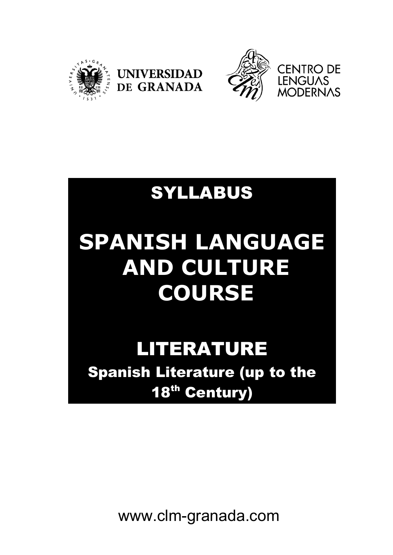



### SYLLABUS

**UNIVERSIDAD** 

DE GRANADA

# **SPANISH LANGUAGE AND CULTURE COURSE**

## LITERATURE

Spanish Literature (up to the 18<sup>th</sup> Century)

www.clm-granada.com